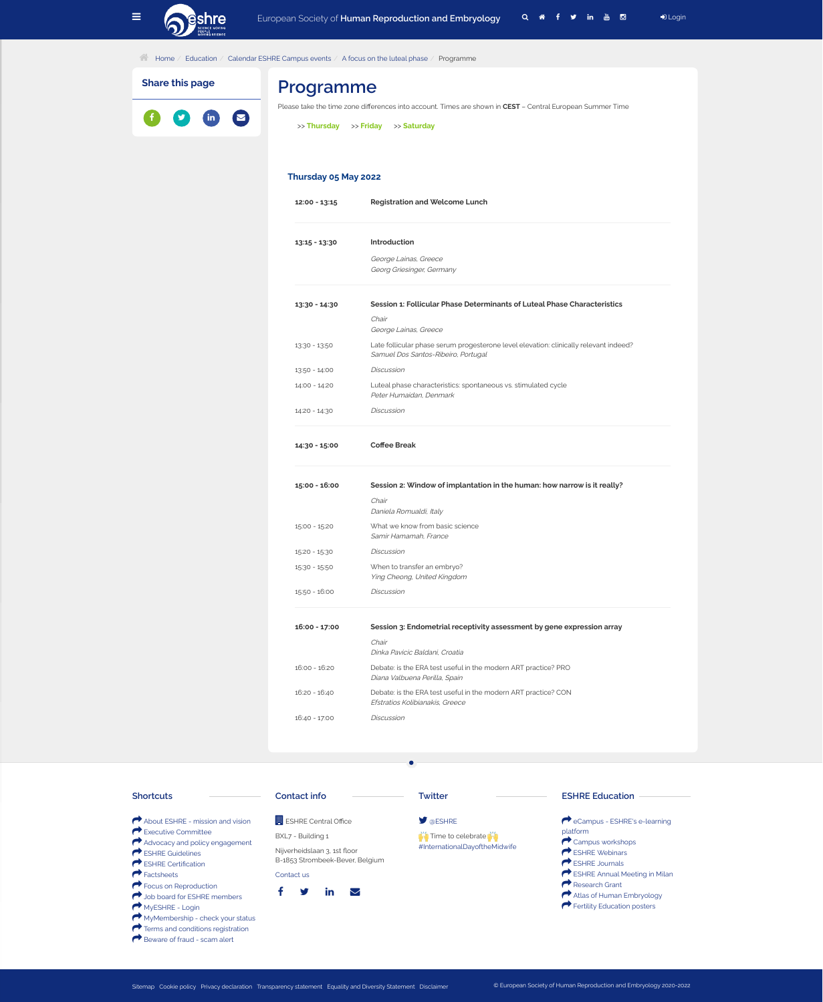

**1** [Home](https://www.eshre.eu/en) / [Education](https://www.eshre.eu/en/Education) / [Calendar ESHRE Campus events](https://www.eshre.eu/en/Education/Calendar-Campus-events) / [A focus on the luteal phase](https://www.eshre.eu/en/Education/Calendar-Campus-events/A-focus-on-the-luteal-phase) / Programme

## **Programme**

Please take the time zone diferences into account. Times are shown in **CEST** – Central European Summer Time

>> **[Thursday](https://www.eshre.eu/Education/Calendar-Campus-events/A-focus-on-the-luteal-phase/Programme?dayid=3302)** >> **[Friday](https://www.eshre.eu/Education/Calendar-Campus-events/A-focus-on-the-luteal-phase/Programme?dayid=3303)** >> **[Saturday](https://www.eshre.eu/Education/Calendar-Campus-events/A-focus-on-the-luteal-phase/Programme?dayid=3304)**

#### **Thursday 05 May 2022**

- **12:00 13:15 Registration and Welcome Lunch**
- **13:15 13:30 Introduction** George Lainas, Greece Georg Griesinger, Germany
- **13:30 14:30 Session 1: Follicular Phase Determinants of Luteal Phase Characteristics** Chair George Lainas, Greece 13:30 - 13:50 Late follicular phase serum progesterone level elevation: clinically relevant indeed? Samuel Dos Santos-Ribeiro, Portugal 13:50 - 14:00 Discussion 14:00 - 14:20 Luteal phase characteristics: spontaneous vs. stimulated cycle Peter Humaidan, Denmark 14:20 - 14:30 Discussion

| 14:30 - 15:00   | <b>Coffee Break</b>                                                                               |
|-----------------|---------------------------------------------------------------------------------------------------|
| $15:00 - 16:00$ | Session 2: Window of implantation in the human: how narrow is it really?                          |
|                 | Chair<br>Daniela Romualdi, Italy                                                                  |
| $15:00 - 15:20$ | What we know from basic science<br>Samir Hamamah, France                                          |
| $15:20 - 15:30$ | <b>Discussion</b>                                                                                 |
| $15:30 - 15:50$ | When to transfer an embryo?<br>Ying Cheong, United Kingdom                                        |
| $15:50 - 16:00$ | <b>Discussion</b>                                                                                 |
| 16:00 - 17:00   | Session 3: Endometrial receptivity assessment by gene expression array                            |
|                 | Chair<br>Dinka Pavicic Baldani, Croatia                                                           |
| $16:00 - 16:20$ | Debate: is the ERA test useful in the modern ART practice? PRO<br>Diana Valbuena Perilla, Spain   |
| $16:20 - 16:40$ | Debate: is the ERA test useful in the modern ART practice? CON<br>Efstratios Kolibianakis, Greece |
|                 |                                                                                                   |

**Share this page**





 $\bullet$ 

**B** [Focus on Reproduction](https://www.eshre.eu/en/Publications/Focus-on-Reproduction) **B** [Job board for ESHRE members](https://www.eshre.eu/en/Membership/Job-board) MyESHRE - Login & [MyMembership - check your status](https://www.eshre.eu/en/Login/MyESHRE/Member-application-form-multi) Terms and conditions registration Beware of fraud - scam alert



[Sitemap](https://www.eshre.eu/en/ESHRE/Sitemap) [Cookie policy](https://www.eshre.eu/en/ESHRE/Cookies) [Privacy declaration](https://www.eshre.eu/en/Privacy-Declaration-ESHRE) [Transparency statement](https://www.eshre.eu/en/ESHRE/transparency-statement) [Equality and Diversity Statement](https://www.eshre.eu/en/Equality-and-Diversity-Statement) [Disclaimer](https://www.eshre.eu/en/Disclaimer) © European Society of Human Reproduction and Embryology 2020-2022

 $\mathsf f$   $\mathsf y$  in  $\heartsuit$ 

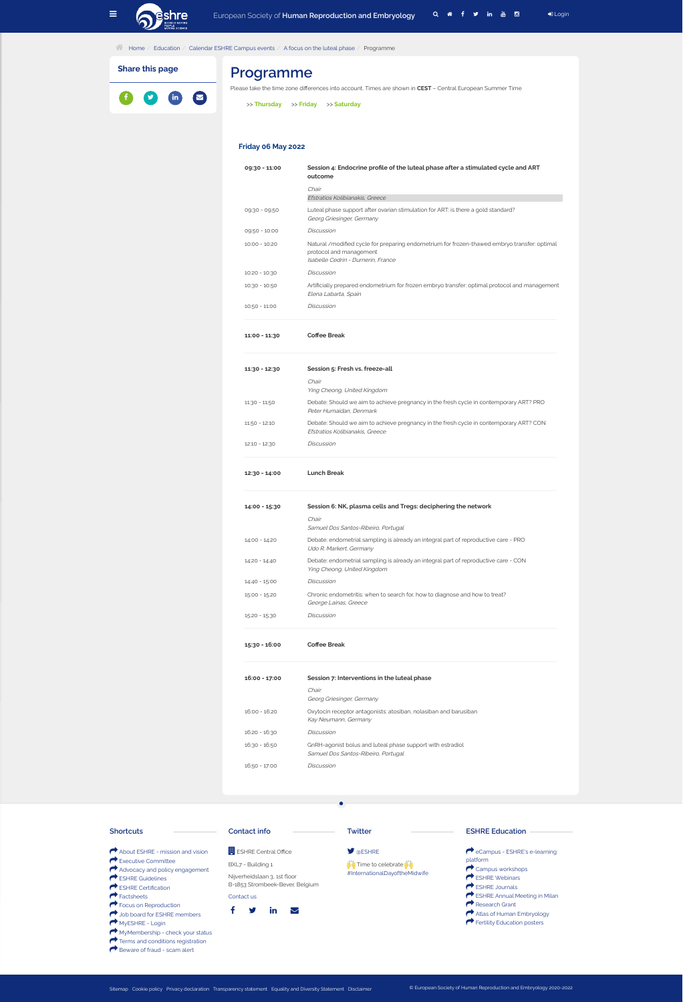

#### **1** [Home](https://www.eshre.eu/en) / [Education](https://www.eshre.eu/en/Education) / [Calendar ESHRE Campus events](https://www.eshre.eu/en/Education/Calendar-Campus-events) / [A focus on the luteal phase](https://www.eshre.eu/en/Education/Calendar-Campus-events/A-focus-on-the-luteal-phase) / Programme

# **Programme**

Please take the time zone diferences into account. Times are shown in **CEST** – Central European Summer Time

>> **[Thursday](https://www.eshre.eu/Education/Calendar-Campus-events/A-focus-on-the-luteal-phase/Programme?dayid=3302)** >> **[Friday](https://www.eshre.eu/Education/Calendar-Campus-events/A-focus-on-the-luteal-phase/Programme?dayid=3303)** >> **[Saturday](https://www.eshre.eu/Education/Calendar-Campus-events/A-focus-on-the-luteal-phase/Programme?dayid=3304)**

### **Friday 06 May 2022**

| 09:30 - 11:00   | Session 4: Endocrine profile of the luteal phase after a stimulated cycle and ART<br>outcome                                                                  |
|-----------------|---------------------------------------------------------------------------------------------------------------------------------------------------------------|
|                 | Chair<br>Efstratios Kolibianakis, Greece                                                                                                                      |
| 09:30 - 09:50   | Luteal phase support after ovarian stimulation for ART: is there a gold standard?<br>Georg Griesinger, Germany                                                |
| 09:50 - 10:00   | <b>Discussion</b>                                                                                                                                             |
| $10:00 - 10:20$ | Natural /modified cycle for preparing endometrium for frozen-thawed embryo transfer: optimal<br>protocol and management<br>Isabelle Cedrin - Durnerin, France |
| $10:20 - 10:30$ | <b>Discussion</b>                                                                                                                                             |
| $10:30 - 10:50$ | Artificially prepared endometrium for frozen embryo transfer: optimal protocol and management<br>Elena Labarta, Spain                                         |
| $10:50 - 11:00$ | <b>Discussion</b>                                                                                                                                             |
| $11:00 - 11:30$ | <b>Coffee Break</b>                                                                                                                                           |

| Session 5: Fresh vs. freeze-all                                                                                           |  |  |
|---------------------------------------------------------------------------------------------------------------------------|--|--|
| Chair<br>Ying Cheong, United Kingdom                                                                                      |  |  |
| Debate: Should we aim to achieve pregnancy in the fresh cycle in contemporary ART? PRO<br>Peter Humaidan, Denmark         |  |  |
| Debate: Should we aim to achieve pregnancy in the fresh cycle in contemporary ART? CON<br>Efstratios Kolibianakis, Greece |  |  |
| <b>Discussion</b>                                                                                                         |  |  |
| <b>Lunch Break</b>                                                                                                        |  |  |
| Session 6: NK, plasma cells and Tregs: deciphering the network                                                            |  |  |
| Chair<br>Samuel Dos Santos-Ribeiro, Portugal                                                                              |  |  |
| Debate: endometrial sampling is already an integral part of reproductive care - PRO<br>Udo R. Markert, Germany            |  |  |
| Debate: endometrial sampling is already an integral part of reproductive care - CON<br>Ying Cheong, United Kingdom        |  |  |
| <b>Discussion</b>                                                                                                         |  |  |
| Chronic endometritis: when to search for, how to diagnose and how to treat?<br>George Lainas, Greece                      |  |  |
| <b>Discussion</b>                                                                                                         |  |  |
| <b>Coffee Break</b>                                                                                                       |  |  |
| Session 7: Interventions in the luteal phase                                                                              |  |  |
| Chair<br>Georg Griesinger, Germany                                                                                        |  |  |
| Oxytocin receptor antagonists: atosiban, nolasiban and barusiban<br>Kay Neumann, Germany                                  |  |  |
|                                                                                                                           |  |  |

**Share this page**